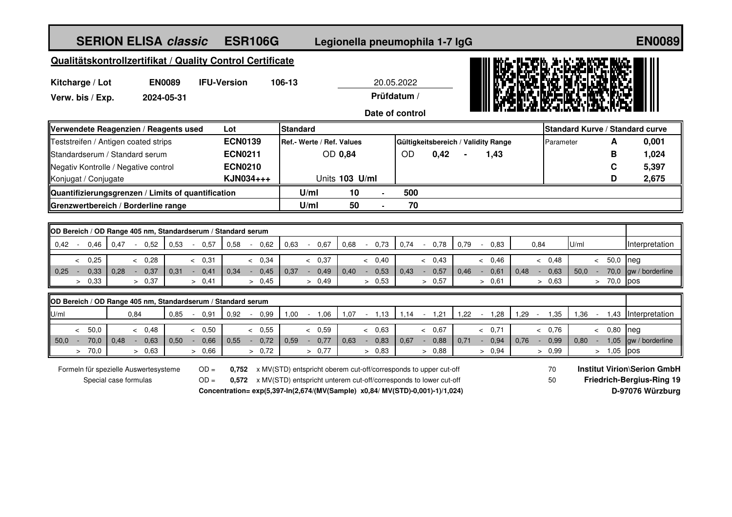## **SERION ELISA classic**

## **classic ESR106G Legionella pneumophila 1-7 IgG ESR106G EN0089**

## **Qualitätskontrollzertifikat / Quality Control Certificate**

| Qualitätskontrollzertifikat / Quality Control Certificate |               |                    |                 |                 | III BASKERA AKARE               |
|-----------------------------------------------------------|---------------|--------------------|-----------------|-----------------|---------------------------------|
| Kitcharge / Lot                                           | <b>EN0089</b> | <b>IFU-Version</b> | 106-13          | 20.05.2022      |                                 |
| Verw. bis / Exp.                                          | 2024-05-31    |                    |                 | Prüfdatum /     | DШ.<br><b>CEARERS BE</b>        |
|                                                           |               |                    |                 | Date of control |                                 |
| Warwandata Rasganzian / Rasgante usad                     |               | l nt               | <b>Standard</b> |                 | $\blacksquare$ Standard Kurve / |

| Verwendete Reagenzien / Reagents used              | IStandard      |                                  |                |     | <b>IStandard Kurve / Standard curve</b> |      |                                     |           |  |       |
|----------------------------------------------------|----------------|----------------------------------|----------------|-----|-----------------------------------------|------|-------------------------------------|-----------|--|-------|
| Teststreifen / Antigen coated strips               | <b>ECN0139</b> | <b>Ref.- Werte / Ref. Values</b> |                |     |                                         |      | Gültigkeitsbereich / Validity Range | Parameter |  | 0,001 |
| <b>IStandardserum / Standard serum</b>             | <b>ECN0211</b> |                                  | OD 0.84        |     | OD                                      | 0.42 | 1.43                                |           |  | ,024  |
| Negativ Kontrolle / Negative control               | <b>ECN0210</b> |                                  |                |     |                                         |      |                                     |           |  | 5,397 |
| Konjugat / Conjugate                               | KJN034+++      |                                  | Units 103 U/ml |     |                                         |      |                                     |           |  | 2,675 |
| Quantifizierungsgrenzen / Limits of quantification | U/ml           | 10                               |                | 500 |                                         |      |                                     |           |  |       |
| Grenzwertbereich / Borderline range                | U/ml           | 50                               |                | 70  |                                         |      |                                     |           |  |       |

|                  | OD Bereich / OD Range 405 nm, Standardserum / Standard serum |             |      |  |        |      |  |         |      |  |        |      |  |      |      |      |             |      |      |        |      |      |        |      |            |                      |
|------------------|--------------------------------------------------------------|-------------|------|--|--------|------|--|---------|------|--|--------|------|--|------|------|------|-------------|------|------|--------|------|------|--------|------|------------|----------------------|
| $\parallel$ 0,42 |                                                              | 0.46        | 0.47 |  | 0,52   | 0.53 |  | $-0.57$ | 0,58 |  | 0,62   | 0.63 |  | 0.67 | 0.68 |      | $0.73$ 0.74 | 0.78 | 0.79 | 0,83   |      | 0,84 |        | U/ml |            | Interpretation       |
|                  |                                                              |             |      |  |        |      |  |         |      |  |        |      |  |      |      |      |             |      |      |        |      |      |        |      |            |                      |
|                  |                                                              | 0,25        |      |  | 0,28   |      |  | 0,31    |      |  | 0.34   |      |  | 0,37 |      | 0,40 |             | 0.43 |      | 0.46   |      |      | 0.48   |      | $50.0$ neg |                      |
| $\parallel$ 0.25 |                                                              | $0.33$ 0.28 |      |  | 0,37   | 0,31 |  | 0,41    | 0,34 |  | 0.45   | 0,37 |  | 0,49 | 0,40 | 0,53 | 0,43        | 0,57 | 0.46 | 0,61   | 0,48 |      | 0,63   | 50.0 |            | 70,0 gw / borderline |
|                  |                                                              | 0,33        |      |  | > 0.37 |      |  | > 0,41  |      |  | > 0.45 |      |  | 0.49 |      | 0,53 |             | 0,57 |      | > 0.61 |      |      | > 0.63 |      | 70.0 pos   |                      |

|      | OD Bereich / OD Range 405 nm, Standardserum / Standard serum |      |                  |      |      |  |      |      |      |      |  |      |      |  |      |      |      |      |      |      |      |      |            |                      |
|------|--------------------------------------------------------------|------|------------------|------|------|--|------|------|------|------|--|------|------|--|------|------|------|------|------|------|------|------|------------|----------------------|
| U/ml |                                                              |      | 0,84             |      | 0.85 |  | 0.91 | 0.92 | 0.99 | 1,00 |  | 1.06 | 1,07 |  | .13  | 1.14 | 1,21 | 1.22 | 1,28 | .29  | .35  | .36  | . .43      | Interpretation       |
|      |                                                              |      |                  |      |      |  |      |      |      |      |  |      |      |  |      |      |      |      |      |      |      |      |            |                      |
|      |                                                              | 50,0 |                  | 0.48 |      |  | 0.50 |      | 0,55 |      |  | 0,59 |      |  | 0.63 |      | 0.67 |      | 0,71 |      | 0.76 |      | $0.80$ neg |                      |
| 50,0 |                                                              | 70,0 | $\parallel$ 0.48 | 0.63 | 0,50 |  | 0,66 | 0,55 | 0,72 | 0.59 |  | 0,77 | 0,63 |  | 0,83 | 0.67 | 0,88 | 0.71 | 0,94 | 0.76 | 0,99 | 0.80 |            | 1,05 gw / borderline |
|      |                                                              | 70,0 |                  | 0.63 |      |  | 0,66 |      | 0,72 |      |  | 0,77 |      |  | 0.83 |      | 0.88 |      | 0.94 |      | 0.99 |      | $1,05$ pos |                      |

Formeln für spezielle Auswertesysteme Special case formulas

OD = 0,752 x MV(STD) entspricht oberem cut-off/corresponds to upper cut-off **Institut Virion\Serion GmbH** OD = 0,572 x MV(STD) entspricht unterem cut-off/corresponds to lower cut-off 50 Friedrich-Bergius-Ring 19 **Concentration= exp(5,397-In(2,674/(MV(Sample) x0,84/ MV(STD)-0,001)-1)/1,024) D-97076 Würzburg**

70 50